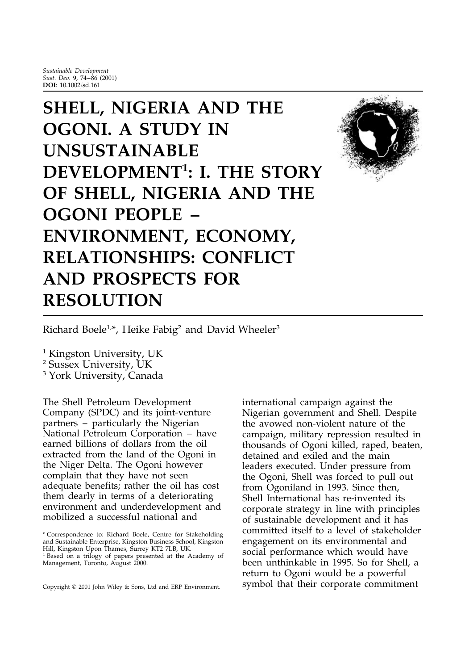# **SHELL, NIGERIA AND THE OGONI. A STUDY IN UNSUSTAINABLE DEVELOPMENT<sup>1</sup> : I. THE STORY OF SHELL, NIGERIA AND THE OGONI PEOPLE – ENVIRONMENT, ECONOMY, RELATIONSHIPS: CONFLICT AND PROSPECTS FOR RESOLUTION**



Richard Boele<sup>1,\*</sup>, Heike Fabig<sup>2</sup> and David Wheeler<sup>3</sup>

<sup>1</sup> Kingston University, UK

<sup>2</sup> Sussex University, UK

<sup>3</sup> York University, Canada

The Shell Petroleum Development Company (SPDC) and its joint-venture partners – particularly the Nigerian National Petroleum Corporation – have earned billions of dollars from the oil extracted from the land of the Ogoni in the Niger Delta. The Ogoni however complain that they have not seen adequate benefits; rather the oil has cost them dearly in terms of a deteriorating environment and underdevelopment and mobilized a successful national and

\* Correspondence to: Richard Boele, Centre for Stakeholding and Sustainable Enterprise, Kingston Business School, Kingston Hill, Kingston Upon Thames, Surrey KT2 7LB, UK. <sup>1</sup> Based on a trilogy of papers presented at the Academy of Management, Toronto, August 2000.

Copyright © 2001 John Wiley & Sons, Ltd and ERP Environment.

international campaign against the Nigerian government and Shell. Despite the avowed non-violent nature of the campaign, military repression resulted in thousands of Ogoni killed, raped, beaten, detained and exiled and the main leaders executed. Under pressure from the Ogoni, Shell was forced to pull out from Ogoniland in 1993. Since then, Shell International has re-invented its corporate strategy in line with principles of sustainable development and it has committed itself to a level of stakeholder engagement on its environmental and social performance which would have been unthinkable in 1995. So for Shell, a return to Ogoni would be a powerful symbol that their corporate commitment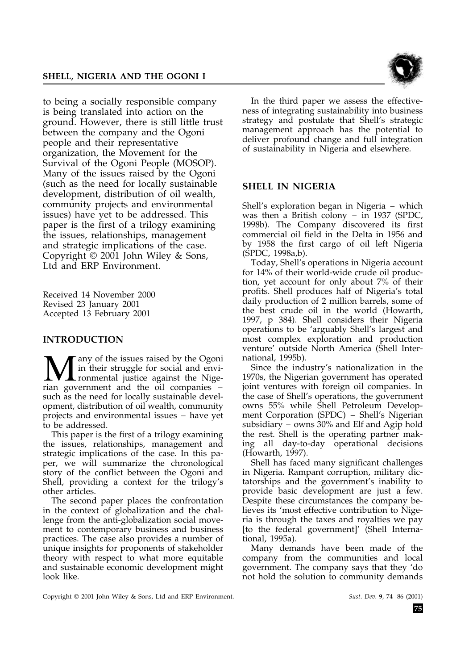to being a socially responsible company is being translated into action on the ground. However, there is still little trust between the company and the Ogoni people and their representative organization, the Movement for the Survival of the Ogoni People (MOSOP). Many of the issues raised by the Ogoni (such as the need for locally sustainable development, distribution of oil wealth, community projects and environmental issues) have yet to be addressed. This paper is the first of a trilogy examining the issues, relationships, management and strategic implications of the case. Copyright © 2001 John Wiley & Sons, Ltd and ERP Environment.

Received 14 November 2000 Revised 23 January 2001 Accepted 13 February 2001

#### **INTRODUCTION**

**M** any of the issues raised by the Ogoni<br>
ronmental justice against the Nige-<br>
rian government and the oil companies – in their struggle for social and envirian government and the oil companies – such as the need for locally sustainable development, distribution of oil wealth, community projects and environmental issues – have yet to be addressed.

This paper is the first of a trilogy examining the issues, relationships, management and strategic implications of the case. In this paper, we will summarize the chronological story of the conflict between the Ogoni and Shell, providing a context for the trilogy's other articles.

The second paper places the confrontation in the context of globalization and the challenge from the anti-globalization social movement to contemporary business and business practices. The case also provides a number of unique insights for proponents of stakeholder theory with respect to what more equitable and sustainable economic development might look like.



In the third paper we assess the effectiveness of integrating sustainability into business strategy and postulate that Shell's strategic management approach has the potential to deliver profound change and full integration of sustainability in Nigeria and elsewhere.

### **SHELL IN NIGERIA**

Shell's exploration began in Nigeria – which was then a British colony – in 1937 (SPDC, 1998b). The Company discovered its first commercial oil field in the Delta in 1956 and by 1958 the first cargo of oil left Nigeria (SPDC, 1998a,b).

Today, Shell's operations in Nigeria account for 14% of their world-wide crude oil production, yet account for only about 7% of their profits. Shell produces half of Nigeria's total daily production of 2 million barrels, some of the best crude oil in the world (Howarth, 1997, p 384). Shell considers their Nigeria operations to be 'arguably Shell's largest and most complex exploration and production venture' outside North America (Shell International, 1995b).

Since the industry's nationalization in the 1970s, the Nigerian government has operated joint ventures with foreign oil companies. In the case of Shell's operations, the government owns 55% while Shell Petroleum Development Corporation (SPDC) – Shell's Nigerian subsidiary – owns 30% and Elf and Agip hold the rest. Shell is the operating partner making all day-to-day operational decisions (Howarth, 1997).

Shell has faced many significant challenges in Nigeria. Rampant corruption, military dictatorships and the government's inability to provide basic development are just a few. Despite these circumstances the company believes its 'most effective contribution to Nigeria is through the taxes and royalties we pay [to the federal government]' (Shell International, 1995a).

Many demands have been made of the company from the communities and local government. The company says that they 'do not hold the solution to community demands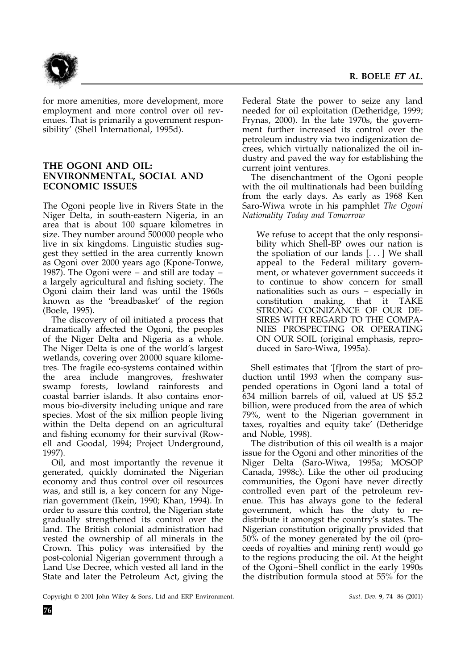

for more amenities, more development, more employment and more control over oil revenues. That is primarily a government responsibility' (Shell International, 1995d).

## **THE OGONI AND OIL: ENVIRONMENTAL, SOCIAL AND ECONOMIC ISSUES**

The Ogoni people live in Rivers State in the Niger Delta, in south-eastern Nigeria, in an area that is about 100 square kilometres in size. They number around 500000 people who live in six kingdoms. Linguistic studies suggest they settled in the area currently known as Ogoni over 2000 years ago (Kpone-Tonwe, 1987). The Ogoni were – and still are today – a largely agricultural and fishing society. The Ogoni claim their land was until the 1960s known as the 'breadbasket' of the region (Boele, 1995).

The discovery of oil initiated a process that dramatically affected the Ogoni, the peoples of the Niger Delta and Nigeria as a whole. The Niger Delta is one of the world's largest wetlands, covering over 20000 square kilometres. The fragile eco-systems contained within the area include mangroves, freshwater swamp forests, lowland rainforests and coastal barrier islands. It also contains enormous bio-diversity including unique and rare species. Most of the six million people living within the Delta depend on an agricultural and fishing economy for their survival (Rowell and Goodal, 1994; Project Underground, 1997).

Oil, and most importantly the revenue it generated, quickly dominated the Nigerian economy and thus control over oil resources was, and still is, a key concern for any Nigerian government (Ikein, 1990; Khan, 1994). In order to assure this control, the Nigerian state gradually strengthened its control over the land. The British colonial administration had vested the ownership of all minerals in the Crown. This policy was intensified by the post-colonial Nigerian government through a Land Use Decree, which vested all land in the State and later the Petroleum Act, giving the

Federal State the power to seize any land needed for oil exploitation (Detheridge, 1999; Frynas, 2000). In the late 1970s, the government further increased its control over the petroleum industry via two indigenization decrees, which virtually nationalized the oil industry and paved the way for establishing the current joint ventures.

The disenchantment of the Ogoni people with the oil multinationals had been building from the early days. As early as 1968 Ken Saro-Wiwa wrote in his pamphlet *The Ogoni Nationality Today and Tomorrow*

We refuse to accept that the only responsibility which Shell-BP owes our nation is the spoliation of our lands [. . . ] We shall appeal to the Federal military government, or whatever government succeeds it to continue to show concern for small nationalities such as ours – especially in constitution making, that it TAKE STRONG COGNIZANCE OF OUR DE-SIRES WITH REGARD TO THE COMPA-NIES PROSPECTING OR OPERATING ON OUR SOIL (original emphasis, reproduced in Saro-Wiwa, 1995a).

Shell estimates that '[f]rom the start of production until 1993 when the company suspended operations in Ogoni land a total of 634 million barrels of oil, valued at US \$5.2 billion, were produced from the area of which 79%, went to the Nigerian government in taxes, royalties and equity take' (Detheridge and Noble, 1998).

The distribution of this oil wealth is a major issue for the Ogoni and other minorities of the Niger Delta (Saro-Wiwa, 1995a; MOSOP Canada, 1998c). Like the other oil producing communities, the Ogoni have never directly controlled even part of the petroleum revenue. This has always gone to the federal government, which has the duty to redistribute it amongst the country's states. The Nigerian constitution originally provided that 50% of the money generated by the oil (proceeds of royalties and mining rent) would go to the regions producing the oil. At the height of the Ogoni–Shell conflict in the early 1990s the distribution formula stood at 55% for the

Copyright © 2001 John Wiley & Sons, Ltd and ERP Environment. *Sust*. *Dev*. **9**, 74–86 (2001)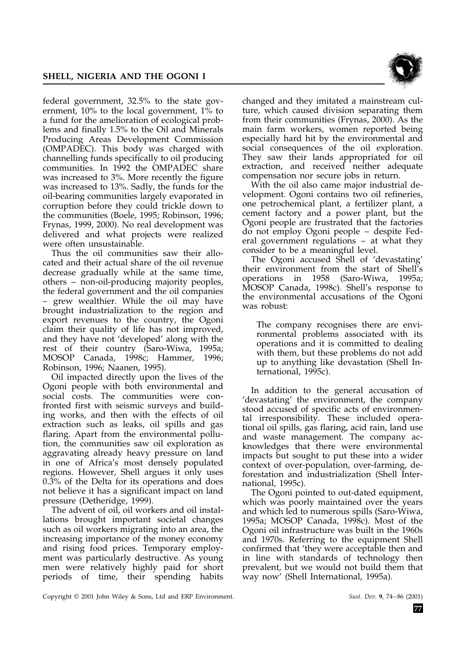federal government, 32.5% to the state government, 10% to the local government, 1% to a fund for the amelioration of ecological problems and finally 1.5% to the Oil and Minerals Producing Areas Development Commission (OMPADEC). This body was charged with channelling funds specifically to oil producing communities. In 1992 the OMPADEC share was increased to 3%. More recently the figure was increased to 13%. Sadly, the funds for the oil-bearing communities largely evaporated in corruption before they could trickle down to the communities (Boele, 1995; Robinson, 1996; Frynas, 1999, 2000). No real development was delivered and what projects were realized were often unsustainable.

Thus the oil communities saw their allocated and their actual share of the oil revenue decrease gradually while at the same time, others – non-oil-producing majority peoples, the federal government and the oil companies – grew wealthier. While the oil may have brought industrialization to the region and export revenues to the country, the Ogoni claim their quality of life has not improved, and they have not 'developed' along with the rest of their country (Saro-Wiwa, 1995a; MOSOP Canada, 1998c; Hammer, 1996; Robinson, 1996; Naanen, 1995).

Oil impacted directly upon the lives of the Ogoni people with both environmental and social costs. The communities were confronted first with seismic surveys and building works, and then with the effects of oil extraction such as leaks, oil spills and gas flaring. Apart from the environmental pollution, the communities saw oil exploration as aggravating already heavy pressure on land in one of Africa's most densely populated regions. However, Shell argues it only uses 0.3% of the Delta for its operations and does not believe it has a significant impact on land pressure (Detheridge, 1999).

The advent of oil, oil workers and oil installations brought important societal changes such as oil workers migrating into an area, the increasing importance of the money economy and rising food prices. Temporary employment was particularly destructive. As young men were relatively highly paid for short periods of time, their spending habits



changed and they imitated a mainstream culture, which caused division separating them from their communities (Frynas, 2000). As the main farm workers, women reported being especially hard hit by the environmental and social consequences of the oil exploration. They saw their lands appropriated for oil extraction, and received neither adequate compensation nor secure jobs in return.

With the oil also came major industrial development. Ogoni contains two oil refineries, one petrochemical plant, a fertilizer plant, a cement factory and a power plant, but the Ogoni people are frustrated that the factories do not employ Ogoni people – despite Federal government regulations – at what they consider to be a meaningful level.

The Ogoni accused Shell of 'devastating' their environment from the start of Shell's operations in 1958 (Saro-Wiwa, 1995a; MOSOP Canada, 1998c). Shell's response to the environmental accusations of the Ogoni was robust:

The company recognises there are environmental problems associated with its operations and it is committed to dealing with them, but these problems do not add up to anything like devastation (Shell International, 1995c).

In addition to the general accusation of 'devastating' the environment, the company stood accused of specific acts of environmental irresponsibility. These included operational oil spills, gas flaring, acid rain, land use and waste management. The company acknowledges that there were environmental impacts but sought to put these into a wider context of over-population, over-farming, deforestation and industrialization (Shell International, 1995c).

The Ogoni pointed to out-dated equipment, which was poorly maintained over the years and which led to numerous spills (Saro-Wiwa, 1995a; MOSOP Canada, 1998c). Most of the Ogoni oil infrastructure was built in the 1960s and 1970s. Referring to the equipment Shell confirmed that 'they were acceptable then and in line with standards of technology then prevalent, but we would not build them that way now' (Shell International, 1995a).

Copyright © 2001 John Wiley & Sons, Ltd and ERP Environment. *Sust*. *Dev*. **9**, 74–86 (2001)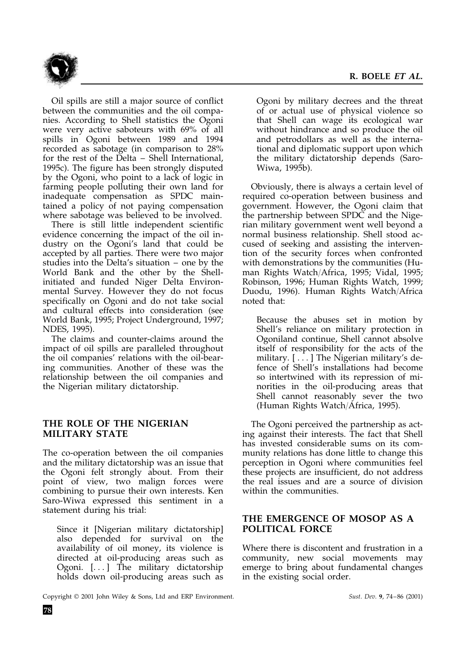

Oil spills are still a major source of conflict between the communities and the oil companies. According to Shell statistics the Ogoni were very active saboteurs with 69% of all spills in Ogoni between 1989 and 1994 recorded as sabotage (in comparison to 28% for the rest of the Delta – Shell International, 1995c). The figure has been strongly disputed by the Ogoni, who point to a lack of logic in farming people polluting their own land for inadequate compensation as SPDC maintained a policy of not paying compensation where sabotage was believed to be involved.

There is still little independent scientific evidence concerning the impact of the oil industry on the Ogoni's land that could be accepted by all parties. There were two major studies into the Delta's situation – one by the World Bank and the other by the Shellinitiated and funded Niger Delta Environmental Survey. However they do not focus specifically on Ogoni and do not take social and cultural effects into consideration (see World Bank, 1995; Project Underground, 1997; NDES, 1995).

The claims and counter-claims around the impact of oil spills are paralleled throughout the oil companies' relations with the oil-bearing communities. Another of these was the relationship between the oil companies and the Nigerian military dictatorship.

# **THE ROLE OF THE NIGERIAN MILITARY STATE**

The co-operation between the oil companies and the military dictatorship was an issue that the Ogoni felt strongly about. From their point of view, two malign forces were combining to pursue their own interests. Ken Saro-Wiwa expressed this sentiment in a statement during his trial:

Since it [Nigerian military dictatorship] also depended for survival on the availability of oil money, its violence is directed at oil-producing areas such as Ogoni. [. . . ] The military dictatorship holds down oil-producing areas such as

Copyright © 2001 John Wiley & Sons, Ltd and ERP Environment. *Sust*. *Dev*. **9**, 74–86 (2001)

Ogoni by military decrees and the threat of or actual use of physical violence so that Shell can wage its ecological war without hindrance and so produce the oil and petrodollars as well as the international and diplomatic support upon which the military dictatorship depends (Saro-Wiwa, 1995b).

Obviously, there is always a certain level of required co-operation between business and government. However, the Ogoni claim that the partnership between SPDC and the Nigerian military government went well beyond a normal business relationship. Shell stood accused of seeking and assisting the intervention of the security forces when confronted with demonstrations by the communities (Human Rights Watch/Africa, 1995; Vidal, 1995; Robinson, 1996; Human Rights Watch, 1999; Duodu, 1996). Human Rights Watch/Africa noted that:

Because the abuses set in motion by Shell's reliance on military protection in Ogoniland continue, Shell cannot absolve itself of responsibility for the acts of the military. [ . . . ] The Nigerian military's defence of Shell's installations had become so intertwined with its repression of minorities in the oil-producing areas that Shell cannot reasonably sever the two (Human Rights Watch/Africa, 1995).

The Ogoni perceived the partnership as acting against their interests. The fact that Shell has invested considerable sums on its community relations has done little to change this perception in Ogoni where communities feel these projects are insufficient, do not address the real issues and are a source of division within the communities.

# **THE EMERGENCE OF MOSOP AS A POLITICAL FORCE**

Where there is discontent and frustration in a community, new social movements may emerge to bring about fundamental changes in the existing social order.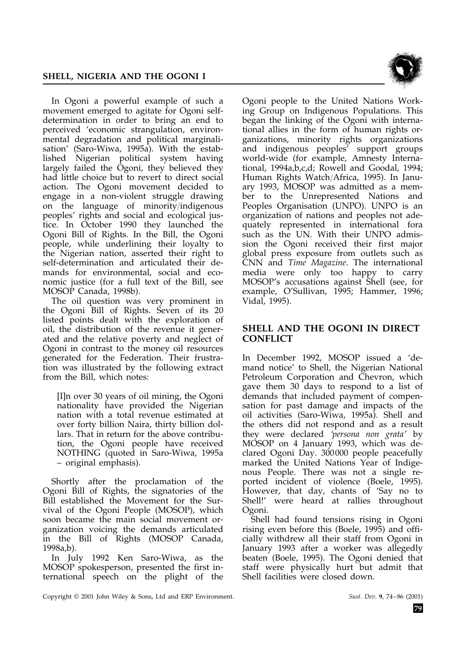In Ogoni a powerful example of such a movement emerged to agitate for Ogoni selfdetermination in order to bring an end to perceived 'economic strangulation, environmental degradation and political marginalisation' (Saro-Wiwa, 1995a). With the established Nigerian political system having largely failed the Ogoni, they believed they had little choice but to revert to direct social action. The Ogoni movement decided to engage in a non-violent struggle drawing on the language of minority/indigenous peoples' rights and social and ecological justice. In October 1990 they launched the Ogoni Bill of Rights. In the Bill, the Ogoni people, while underlining their loyalty to the Nigerian nation, asserted their right to self-determination and articulated their demands for environmental, social and economic justice (for a full text of the Bill, see MOSOP Canada, 1998b).

The oil question was very prominent in the Ogoni Bill of Rights. Seven of its 20 listed points dealt with the exploration of oil, the distribution of the revenue it generated and the relative poverty and neglect of Ogoni in contrast to the money oil resources generated for the Federation. Their frustration was illustrated by the following extract from the Bill, which notes:

[I]n over 30 years of oil mining, the Ogoni nationality have provided the Nigerian nation with a total revenue estimated at over forty billion Naira, thirty billion dollars. That in return for the above contribution, the Ogoni people have received NOTHING (quoted in Saro-Wiwa, 1995a – original emphasis).

Shortly after the proclamation of the Ogoni Bill of Rights, the signatories of the Bill established the Movement for the Survival of the Ogoni People (MOSOP), which soon became the main social movement organization voicing the demands articulated in the Bill of Rights (MOSOP Canada, 1998a,b).

In July 1992 Ken Saro-Wiwa, as the MOSOP spokesperson, presented the first international speech on the plight of the



Ogoni people to the United Nations Working Group on Indigenous Populations. This began the linking of the Ogoni with international allies in the form of human rights organizations, minority rights organizations and indigenous peoples' support groups world-wide (for example, Amnesty International, 1994a,b,c,d; Rowell and Goodal, 1994; Human Rights Watch/Africa, 1995). In January 1993, MOSOP was admitted as a member to the Unrepresented Nations and Peoples Organisation (UNPO). UNPO is an organization of nations and peoples not adequately represented in international fora such as the UN. With their UNPO admission the Ogoni received their first major global press exposure from outlets such as CNN and *Time Magazine*. The international media were only too happy to carry MOSOP's accusations against Shell (see, for example, O'Sullivan, 1995; Hammer, 1996; Vidal, 1995).

# **SHELL AND THE OGONI IN DIRECT CONFLICT**

In December 1992, MOSOP issued a 'demand notice' to Shell, the Nigerian National Petroleum Corporation and Chevron, which gave them 30 days to respond to a list of demands that included payment of compensation for past damage and impacts of the oil activities (Saro-Wiwa, 1995a). Shell and the others did not respond and as a result they were declared '*persona non grata*' by MOSOP on 4 January 1993, which was declared Ogoni Day. 300000 people peacefully marked the United Nations Year of Indigenous People. There was not a single reported incident of violence (Boele, 1995). However, that day, chants of 'Say no to Shell!' were heard at rallies throughout Ogoni.

Shell had found tensions rising in Ogoni rising even before this (Boele, 1995) and officially withdrew all their staff from Ogoni in January 1993 after a worker was allegedly beaten (Boele, 1995). The Ogoni denied that staff were physically hurt but admit that Shell facilities were closed down.

Copyright © 2001 John Wiley & Sons, Ltd and ERP Environment. *Sust*. *Dev*. **9**, 74–86 (2001)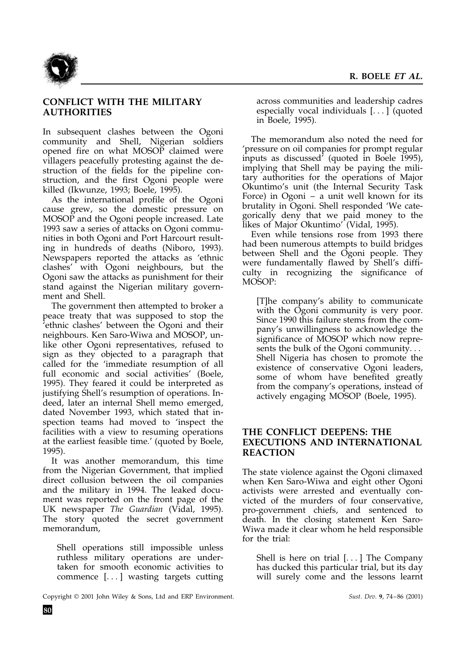

# **CONFLICT WITH THE MILITARY AUTHORITIES**

In subsequent clashes between the Ogoni community and Shell, Nigerian soldiers opened fire on what MOSOP claimed were villagers peacefully protesting against the destruction of the fields for the pipeline construction, and the first Ogoni people were killed (Ikwunze, 1993; Boele, 1995).

As the international profile of the Ogoni cause grew, so the domestic pressure on MOSOP and the Ogoni people increased. Late 1993 saw a series of attacks on Ogoni communities in both Ogoni and Port Harcourt resulting in hundreds of deaths (Niboro, 1993). Newspapers reported the attacks as 'ethnic clashes' with Ogoni neighbours, but the Ogoni saw the attacks as punishment for their stand against the Nigerian military government and Shell.

The government then attempted to broker a peace treaty that was supposed to stop the 'ethnic clashes' between the Ogoni and their neighbours. Ken Saro-Wiwa and MOSOP, unlike other Ogoni representatives, refused to sign as they objected to a paragraph that called for the 'immediate resumption of all full economic and social activities' (Boele, 1995). They feared it could be interpreted as justifying Shell's resumption of operations. Indeed, later an internal Shell memo emerged, dated November 1993, which stated that inspection teams had moved to 'inspect the facilities with a view to resuming operations at the earliest feasible time.' (quoted by Boele, 1995).

It was another memorandum, this time from the Nigerian Government, that implied direct collusion between the oil companies and the military in 1994. The leaked document was reported on the front page of the UK newspaper *The Guardian* (Vidal, 1995). The story quoted the secret government memorandum,

Shell operations still impossible unless ruthless military operations are undertaken for smooth economic activities to commence [...] wasting targets cutting

Copyright © 2001 John Wiley & Sons, Ltd and ERP Environment. *Sust*. *Dev*. **9**, 74–86 (2001)

across communities and leadership cadres especially vocal individuals [...] (quoted in Boele, 1995).

The memorandum also noted the need for 'pressure on oil companies for prompt regular inputs as discussed' (quoted in Boele 1995), implying that Shell may be paying the military authorities for the operations of Major Okuntimo's unit (the Internal Security Task Force) in Ogoni – a unit well known for its brutality in Ogoni. Shell responded 'We categorically deny that we paid money to the likes of Major Okuntimo' (Vidal, 1995).

Even while tensions rose from 1993 there had been numerous attempts to build bridges between Shell and the Ogoni people. They were fundamentally flawed by Shell's difficulty in recognizing the significance of MOSOP:

[T]he company's ability to communicate with the Ogoni community is very poor. Since 1990 this failure stems from the company's unwillingness to acknowledge the significance of MOSOP which now represents the bulk of the Ogoni community. . . Shell Nigeria has chosen to promote the existence of conservative Ogoni leaders, some of whom have benefited greatly from the company's operations, instead of actively engaging MOSOP (Boele, 1995).

#### **THE CONFLICT DEEPENS: THE EXECUTIONS AND INTERNATIONAL REACTION**

The state violence against the Ogoni climaxed when Ken Saro-Wiwa and eight other Ogoni activists were arrested and eventually convicted of the murders of four conservative, pro-government chiefs, and sentenced to death. In the closing statement Ken Saro-Wiwa made it clear whom he held responsible for the trial:

Shell is here on trial [. . . ] The Company has ducked this particular trial, but its day will surely come and the lessons learnt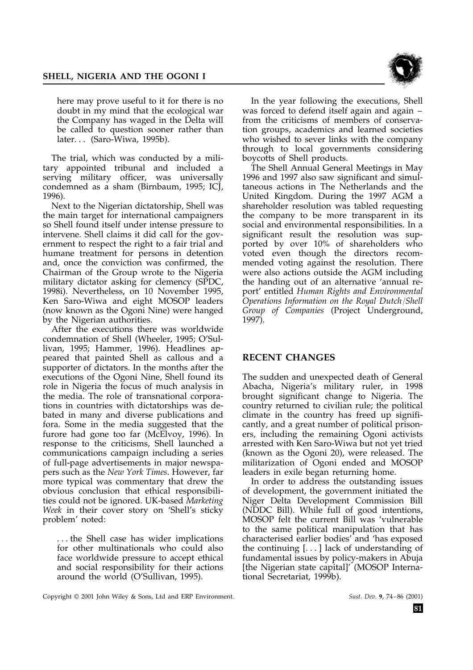here may prove useful to it for there is no doubt in my mind that the ecological war the Company has waged in the Delta will be called to question sooner rather than later. . . (Saro-Wiwa, 1995b).

The trial, which was conducted by a military appointed tribunal and included a serving military officer, was universally condemned as a sham (Birnbaum, 1995; ICJ, 1996).

Next to the Nigerian dictatorship, Shell was the main target for international campaigners so Shell found itself under intense pressure to intervene. Shell claims it did call for the government to respect the right to a fair trial and humane treatment for persons in detention and, once the conviction was confirmed, the Chairman of the Group wrote to the Nigeria military dictator asking for clemency (SPDC, 1998i). Nevertheless, on 10 November 1995, Ken Saro-Wiwa and eight MOSOP leaders (now known as the Ogoni Nine) were hanged by the Nigerian authorities.

After the executions there was worldwide condemnation of Shell (Wheeler, 1995; O'Sullivan, 1995; Hammer, 1996). Headlines appeared that painted Shell as callous and a supporter of dictators. In the months after the executions of the Ogoni Nine, Shell found its role in Nigeria the focus of much analysis in the media. The role of transnational corporations in countries with dictatorships was debated in many and diverse publications and fora. Some in the media suggested that the furore had gone too far (McElvoy, 1996). In response to the criticisms, Shell launched a communications campaign including a series of full-page advertisements in major newspapers such as the *New York Times*. However, far more typical was commentary that drew the obvious conclusion that ethical responsibilities could not be ignored. UK-based *Marketing Week* in their cover story on 'Shell's sticky problem' noted:

. . . the Shell case has wider implications for other multinationals who could also face worldwide pressure to accept ethical and social responsibility for their actions around the world (O'Sullivan, 1995).



In the year following the executions, Shell was forced to defend itself again and again – from the criticisms of members of conservation groups, academics and learned societies who wished to sever links with the company through to local governments considering boycotts of Shell products.

The Shell Annual General Meetings in May 1996 and 1997 also saw significant and simultaneous actions in The Netherlands and the United Kingdom. During the 1997 AGM a shareholder resolution was tabled requesting the company to be more transparent in its social and environmental responsibilities. In a significant result the resolution was supported by over 10% of shareholders who voted even though the directors recommended voting against the resolution. There were also actions outside the AGM including the handing out of an alternative 'annual report' entitled *Human Rights and Environmental Operations Information on the Royal Dutch*/*Shell Group of Companies* (Project Underground, 1997).

# **RECENT CHANGES**

The sudden and unexpected death of General Abacha, Nigeria's military ruler, in 1998 brought significant change to Nigeria. The country returned to civilian rule; the political climate in the country has freed up significantly, and a great number of political prisoners, including the remaining Ogoni activists arrested with Ken Saro-Wiwa but not yet tried (known as the Ogoni 20), were released. The militarization of Ogoni ended and MOSOP leaders in exile began returning home.

In order to address the outstanding issues of development, the government initiated the Niger Delta Development Commission Bill (NDDC Bill). While full of good intentions, MOSOP felt the current Bill was 'vulnerable to the same political manipulation that has characterised earlier bodies' and 'has exposed the continuing [...] lack of understanding of fundamental issues by policy-makers in Abuja [the Nigerian state capital]' (MOSOP International Secretariat, 1999b).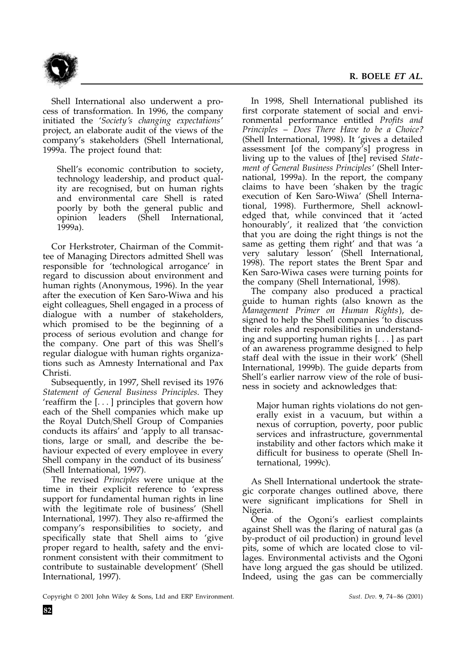

Shell International also underwent a process of transformation. In 1996, the company initiated the '*Society*'*s changing expectations*' project, an elaborate audit of the views of the company's stakeholders (Shell International, 1999a. The project found that:

Shell's economic contribution to society, technology leadership, and product quality are recognised, but on human rights and environmental care Shell is rated poorly by both the general public and opinion leaders (Shell International, 1999a).

Cor Herkstroter, Chairman of the Committee of Managing Directors admitted Shell was responsible for 'technological arrogance' in regard to discussion about environment and human rights (Anonymous, 1996). In the year after the execution of Ken Saro-Wiwa and his eight colleagues, Shell engaged in a process of dialogue with a number of stakeholders, which promised to be the beginning of a process of serious evolution and change for the company. One part of this was Shell's regular dialogue with human rights organizations such as Amnesty International and Pax Christi.

Subsequently, in 1997, Shell revised its 1976 *Statement of General Business Principles*. They 'reaffirm the [...] principles that govern how each of the Shell companies which make up the Royal Dutch/Shell Group of Companies conducts its affairs' and 'apply to all transactions, large or small, and describe the behaviour expected of every employee in every Shell company in the conduct of its business' (Shell International, 1997).

The revised *Principles* were unique at the time in their explicit reference to 'express support for fundamental human rights in line with the legitimate role of business' (Shell International, 1997). They also re-affirmed the company's responsibilities to society, and specifically state that Shell aims to 'give proper regard to health, safety and the environment consistent with their commitment to contribute to sustainable development' (Shell International, 1997).

In 1998, Shell International published its first corporate statement of social and environmental performance entitled *Profits and Principles* – *Does There Have to be a Choice*? (Shell International, 1998). It 'gives a detailed assessment [of the company's] progress in living up to the values of [the] revised *Statement of General Business Principles*' (Shell International, 1999a). In the report, the company claims to have been 'shaken by the tragic execution of Ken Saro-Wiwa' (Shell International, 1998). Furthermore, Shell acknowledged that, while convinced that it 'acted honourably', it realized that 'the conviction that you are doing the right things is not the same as getting them right' and that was 'a very salutary lesson' (Shell International, 1998). The report states the Brent Spar and Ken Saro-Wiwa cases were turning points for the company (Shell International, 1998).

The company also produced a practical guide to human rights (also known as the *Management Primer on Human Rights*), designed to help the Shell companies 'to discuss their roles and responsibilities in understanding and supporting human rights [. . . ] as part of an awareness programme designed to help staff deal with the issue in their work' (Shell International, 1999b). The guide departs from Shell's earlier narrow view of the role of business in society and acknowledges that:

Major human rights violations do not generally exist in a vacuum, but within a nexus of corruption, poverty, poor public services and infrastructure, governmental instability and other factors which make it difficult for business to operate (Shell International, 1999c).

As Shell International undertook the strategic corporate changes outlined above, there were significant implications for Shell in Nigeria.

One of the Ogoni's earliest complaints against Shell was the flaring of natural gas (a by-product of oil production) in ground level pits, some of which are located close to villages. Environmental activists and the Ogoni have long argued the gas should be utilized. Indeed, using the gas can be commercially

Copyright © 2001 John Wiley & Sons, Ltd and ERP Environment. *Sust*. *Dev*. **9**, 74–86 (2001)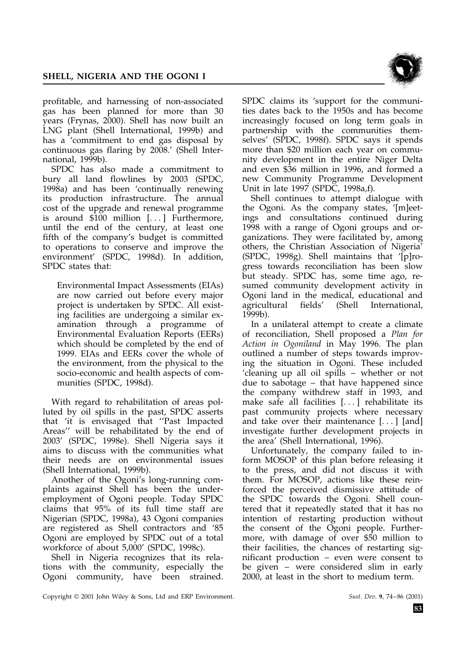profitable, and harnessing of non-associated gas has been planned for more than 30 years (Frynas, 2000). Shell has now built an LNG plant (Shell International, 1999b) and has a 'commitment to end gas disposal by continuous gas flaring by 2008.' (Shell International, 1999b).

SPDC has also made a commitment to bury all land flowlines by 2003 (SPDC, 1998a) and has been 'continually renewing its production infrastructure. The annual cost of the upgrade and renewal programme is around \$100 million [...] Furthermore, until the end of the century, at least one fifth of the company's budget is committed to operations to conserve and improve the environment' (SPDC, 1998d). In addition, SPDC states that:

Environmental Impact Assessments (EIAs) are now carried out before every major project is undertaken by SPDC. All existing facilities are undergoing a similar examination through a programme of Environmental Evaluation Reports (EERs) which should be completed by the end of 1999. EIAs and EERs cover the whole of the environment, from the physical to the socio-economic and health aspects of communities (SPDC, 1998d).

With regard to rehabilitation of areas polluted by oil spills in the past, SPDC asserts that 'it is envisaged that ''Past Impacted Areas'' will be rehabilitated by the end of 2003' (SPDC, 1998e). Shell Nigeria says it aims to discuss with the communities what their needs are on environmental issues (Shell International, 1999b).

Another of the Ogoni's long-running complaints against Shell has been the underemployment of Ogoni people. Today SPDC claims that 95% of its full time staff are Nigerian (SPDC, 1998a), 43 Ogoni companies are registered as Shell contractors and '85 Ogoni are employed by SPDC out of a total workforce of about 5,000' (SPDC, 1998c).

Shell in Nigeria recognizes that its relations with the community, especially the Ogoni community, have been strained.



SPDC claims its 'support for the communities dates back to the 1950s and has become increasingly focused on long term goals in partnership with the communities themselves' (SPDC, 1998f). SPDC says it spends more than \$20 million each year on community development in the entire Niger Delta and even \$36 million in 1996, and formed a new Community Programme Development Unit in late 1997 (SPDC, 1998a,f).

Shell continues to attempt dialogue with the Ogoni. As the company states, '[m]eetings and consultations continued during 1998 with a range of Ogoni groups and organizations. They were facilitated by, among others, the Christian Association of Nigeria' (SPDC, 1998g). Shell maintains that '[p]rogress towards reconciliation has been slow but steady. SPDC has, some time ago, resumed community development activity in Ogoni land in the medical, educational and agricultural fields' (Shell International, 1999b).

In a unilateral attempt to create a climate of reconciliation, Shell proposed a *Plan for Action in Ogoniland* in May 1996. The plan outlined a number of steps towards improving the situation in Ogoni. These included 'cleaning up all oil spills – whether or not due to sabotage – that have happened since the company withdrew staff in 1993, and make safe all facilities [...] rehabilitate its past community projects where necessary and take over their maintenance  $[\dots]$  [and] investigate further development projects in the area' (Shell International, 1996).

Unfortunately, the company failed to inform MOSOP of this plan before releasing it to the press, and did not discuss it with them. For MOSOP, actions like these reinforced the perceived dismissive attitude of the SPDC towards the Ogoni. Shell countered that it repeatedly stated that it has no intention of restarting production without the consent of the Ogoni people. Furthermore, with damage of over \$50 million to their facilities, the chances of restarting significant production – even were consent to be given – were considered slim in early 2000, at least in the short to medium term.

Copyright © 2001 John Wiley & Sons, Ltd and ERP Environment. *Sust*. *Dev*. **9**, 74–86 (2001)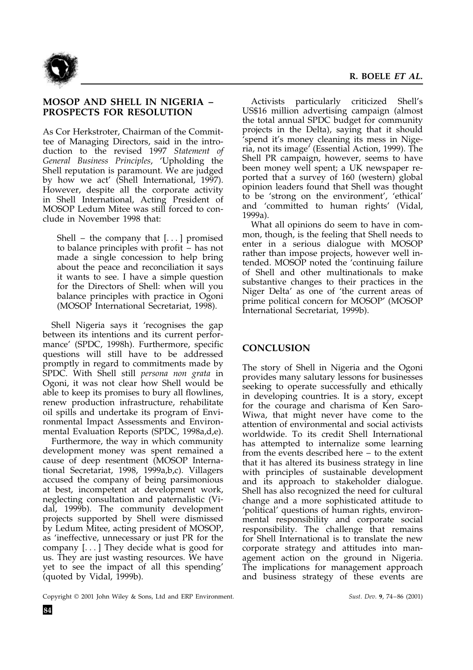

# **MOSOP AND SHELL IN NIGERIA – PROSPECTS FOR RESOLUTION**

As Cor Herkstroter, Chairman of the Committee of Managing Directors, said in the introduction to the revised 1997 *Statement of General Business Principles*, 'Upholding the Shell reputation is paramount. We are judged by how we act' (Shell International, 1997). However, despite all the corporate activity in Shell International, Acting President of MOSOP Ledum Mitee was still forced to conclude in November 1998 that:

Shell – the company that  $[...]$  promised to balance principles with profit – has not made a single concession to help bring about the peace and reconciliation it says it wants to see. I have a simple question for the Directors of Shell: when will you balance principles with practice in Ogoni (MOSOP International Secretariat, 1998).

Shell Nigeria says it 'recognises the gap between its intentions and its current performance' (SPDC, 1998h). Furthermore, specific questions will still have to be addressed promptly in regard to commitments made by SPDC. With Shell still *persona non grata* in Ogoni, it was not clear how Shell would be able to keep its promises to bury all flowlines, renew production infrastructure, rehabilitate oil spills and undertake its program of Environmental Impact Assessments and Environmental Evaluation Reports (SPDC, 1998a,d,e).

Furthermore, the way in which community development money was spent remained a cause of deep resentment (MOSOP International Secretariat, 1998, 1999a,b,c). Villagers accused the company of being parsimonious at best, incompetent at development work, neglecting consultation and paternalistic (Vidal, 1999b). The community development projects supported by Shell were dismissed by Ledum Mitee, acting president of MOSOP, as 'ineffective, unnecessary or just PR for the company [...] They decide what is good for us. They are just wasting resources. We have yet to see the impact of all this spending' (quoted by Vidal, 1999b).

Activists particularly criticized Shell's US\$16 million advertising campaign (almost the total annual SPDC budget for community projects in the Delta), saying that it should 'spend it's money cleaning its mess in Nigeria, not its image' (Essential Action, 1999). The Shell PR campaign, however, seems to have been money well spent; a UK newspaper reported that a survey of 160 (western) global opinion leaders found that Shell was thought to be 'strong on the environment', 'ethical' and 'committed to human rights' (Vidal, 1999a).

What all opinions do seem to have in common, though, is the feeling that Shell needs to enter in a serious dialogue with MOSOP rather than impose projects, however well intended. MOSOP noted the 'continuing failure of Shell and other multinationals to make substantive changes to their practices in the Niger Delta' as one of 'the current areas of prime political concern for MOSOP' (MOSOP International Secretariat, 1999b).

# **CONCLUSION**

The story of Shell in Nigeria and the Ogoni provides many salutary lessons for businesses seeking to operate successfully and ethically in developing countries. It is a story, except for the courage and charisma of Ken Saro-Wiwa, that might never have come to the attention of environmental and social activists worldwide. To its credit Shell International has attempted to internalize some learning from the events described here – to the extent that it has altered its business strategy in line with principles of sustainable development and its approach to stakeholder dialogue. Shell has also recognized the need for cultural change and a more sophisticated attitude to 'political' questions of human rights, environmental responsibility and corporate social responsibility. The challenge that remains for Shell International is to translate the new corporate strategy and attitudes into management action on the ground in Nigeria. The implications for management approach and business strategy of these events are

Copyright © 2001 John Wiley & Sons, Ltd and ERP Environment. *Sust*. *Dev*. **9**, 74–86 (2001)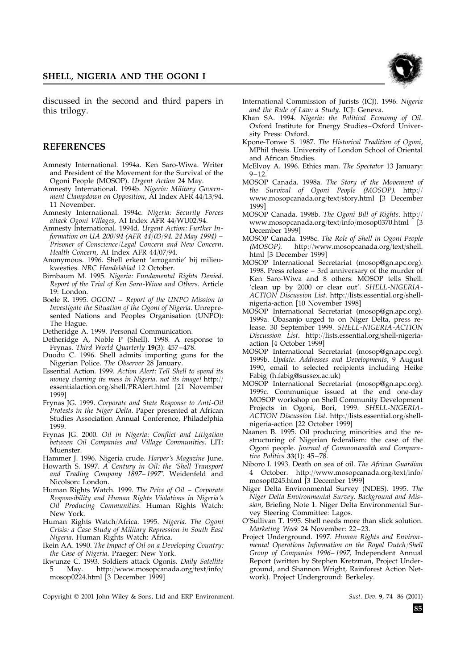discussed in the second and third papers in this trilogy.

#### **REFERENCES**

- Amnesty International. 1994a. Ken Saro-Wiwa. Writer and President of the Movement for the Survival of the Ogoni People (MOSOP). *Urgent Action* 24 May.
- Amnesty International. 1994b. *Nigeria*: *Military Government Clampdown on Opposition*, AI Index AFR 44/13/94. 11 November.
- Amnesty International. 1994c. *Nigeria*: *Security Forces attack Ogoni Villages*, AI Index AFR 44/WU02/94.
- Amnesty International. 1994d. *Urgent Action*: *Further Information on UA* <sup>200</sup>/94 (*AFR* <sup>44</sup>/03/94. <sup>24</sup> *May* 1994) – *Prisoner of Conscience*/*Legal Concern and New Concern*. *Health Concern*, AI Index AFR 44/07/94.
- Anonymous. 1996. Shell erkent 'arrogantie' bij milieukwesties. *NRC Handelsblad* 12 October.
- Birnbaum M. 1995. *Nigeria*: *Fundamental Rights Denied*. *Report of the Trial of Ken Saro*-*Wiwa and Others*. Article 19: London.
- Boele R. 1995. *OGONI Report of the UNPO Mission to Investigate the Situation of the Ogoni of Nigeria*. Unrepresented Nations and Peoples Organisation (UNPO): The Hague.
- Detheridge A. 1999. Personal Communication.
- Detheridge A, Noble P (Shell). 1998. A response to Frynas. *Third World Quarterly* **19**(3): 457–478.
- Duodu C. 1996. Shell admits importing guns for the Nigerian Police. *The Observer* 28 January.
- Essential Action. 1999. *Action Alert*: *Tell Shell to spend its money cleaning its mess in Nigeria*. *not its image*! http:// essentialaction.org/shell/PRAlert.html [21 November 1999]
- Frynas JG. 1999. *Corporate and State Response to Anti*-*Oil Protests in the Niger Delta*. Paper presented at African Studies Association Annual Conference, Philadelphia 1999.
- Frynas JG. 2000. *Oil in Nigeria*: *Conflict and Litigation between Oil Companies and Village Communities*. LIT: Muenster.
- Hammer J. 1996. Nigeria crude. *Harper*'*s Magazine* June.
- Howarth S. 1997. *A Century in Oil*: *the* '*Shell Transport and Trading Company* 1897–1997'. Weidenfeld and Nicolson: London.
- Human Rights Watch. 1999. *The Price of Oil Corporate Responsibility and Human Rights Violations in Nigeria*'*s Oil Producing Communities*. Human Rights Watch: New York.
- Human Rights Watch/Africa. 1995. *Nigeria*. *The Ogoni Crisis*: *a Case Study of Military Repression in South East Nigeria*. Human Rights Watch: Africa.
- Ikein AA. 1990. *The Impact of Oil on a Developing Country*: *the Case of Nigeria*. Praeger: New York.
- Ikwunze C. 1993. Soldiers attack Ogonis. *Daily Satellite* http://www.mosopcanada.org/text/info/ mosop0224.html [3 December 1999]
	-
- International Commission of Jurists (ICJ). 1996. *Nigeria and the Rule of Law*: *a Study*. ICJ: Geneva.
- Khan SA. 1994. *Nigeria*: *the Political Economy of Oil*. Oxford Institute for Energy Studies–Oxford University Press: Oxford.
- Kpone-Tonwe S. 1987. *The Historical Tradition of Ogoni*, MPhil thesis. University of London School of Oriental and African Studies.
- McElvoy A. 1996. Ethics man. *The Spectator* 13 January: 9–12.
- MOSOP Canada. 1998a. *The Story of the Movement of the Survival of Ogoni People* (*MOSOP*). http:// www.mosopcanada.org/text/story.html [3 December 1999]
- MOSOP Canada. 1998b. *The Ogoni Bill of Rights*. http:// www.mosopcanada.org/text/info/mosop0370.html [3 December 1999]
- MOSOP Canada. 1998c. *The Role of Shell in Ogoni People* (*MOSOP*). http://www.mosopcanada.org/text/shell. html [3 December 1999]
- MOSOP International Secretariat (mosop@gn.apc.org). 1998. Press release – 3rd anniversary of the murder of Ken Saro-Wiwa and 8 others: MOSOP tells Shell: 'clean up by 2000 or clear out'. *SHELL*-*NIGERIA*-*ACTION Discussion List*. http://lists.essential.org/shellnigeria-action [10 November 1998]
- MOSOP International Secretariat (mosop@gn.apc.org). 1999a. Obasanjo urged to on Niger Delta, press release. 30 September 1999. *SHELL*-*NIGERIA*-*ACTION Discussion List*. http://lists.essential.org/shell-nigeriaaction [4 October 1999]
- MOSOP International Secretariat (mosop@gn.apc.org). 1999b. *Update*. *Addresses and Developments*, 9 August 1990, email to selected recipients including Heike Fabig (h.fabig@sussex.ac.uk)
- MOSOP International Secretariat (mosop@gn.apc.org). 1999c. Communique issued at the end one-day MOSOP workshop on Shell Community Development Projects in Ogoni, Bori, 1999. *SHELL*-*NIGERIA*-*ACTION Discussion List*. http://lists.essential.org/shellnigeria-action [22 October 1999]
- Naanen B. 1995. Oil producing minorities and the restructuring of Nigerian federalism: the case of the Ogoni people. *Journal of Commonwealth and Comparative Politics* **33**(1): 45–78.
- Niboro I. 1993. Death on sea of oil. *The African Guardian* 4 October. http://www.mosopcanada.org/text/info/ mosop0245.html [3 December 1999]
- Niger Delta Environmental Survey (NDES). 1995. *The Niger Delta Environmental Survey*. *Background and Mission*, Briefing Note 1. Niger Delta Environmental Survey Steering Committee: Lagos.
- O'Sullivan T. 1995. Shell needs more than slick solution. *Marketing Week* 24 November: 22–23.
- Project Underground. 1997. *Human Rights and Environmental Operations Information on the Royal Dutch*/*Shell Group of Companies* 1996–1997, Independent Annual Report (written by Stephen Kretzman, Project Underground, and Shannon Wright, Rainforest Action Network). Project Underground: Berkeley.